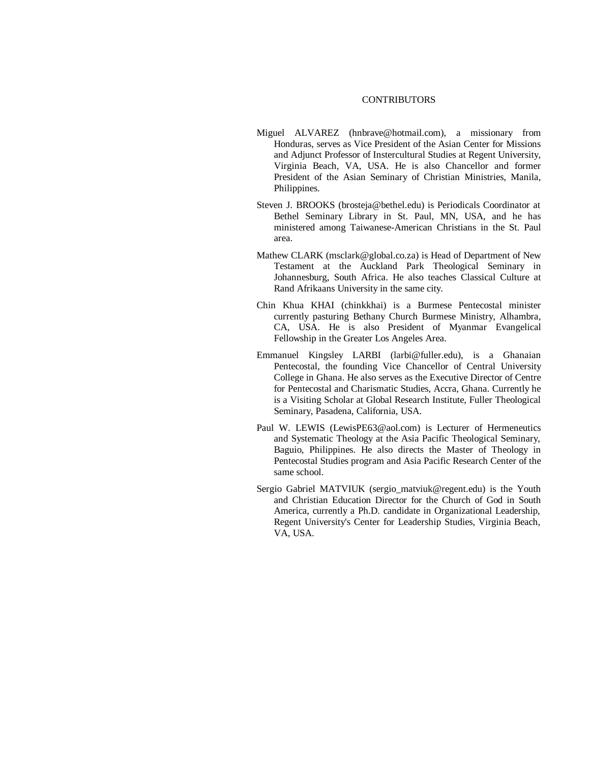## **CONTRIBUTORS**

- Miguel ALVAREZ (hnbrave@hotmail.com), a missionary from Honduras, serves as Vice President of the Asian Center for Missions and Adjunct Professor of Instercultural Studies at Regent University, Virginia Beach, VA, USA. He is also Chancellor and former President of the Asian Seminary of Christian Ministries, Manila, Philippines.
- Steven J. BROOKS (brosteja@bethel.edu) is Periodicals Coordinator at Bethel Seminary Library in St. Paul, MN, USA, and he has ministered among Taiwanese-American Christians in the St. Paul area.
- Mathew CLARK (msclark@global.co.za) is Head of Department of New Testament at the Auckland Park Theological Seminary in Johannesburg, South Africa. He also teaches Classical Culture at Rand Afrikaans University in the same city.
- Chin Khua KHAI (chinkkhai) is a Burmese Pentecostal minister currently pasturing Bethany Church Burmese Ministry, Alhambra, CA, USA. He is also President of Myanmar Evangelical Fellowship in the Greater Los Angeles Area.
- Emmanuel Kingsley LARBI (larbi@fuller.edu), is a Ghanaian Pentecostal, the founding Vice Chancellor of Central University College in Ghana. He also serves as the Executive Director of Centre for Pentecostal and Charismatic Studies, Accra, Ghana. Currently he is a Visiting Scholar at Global Research Institute, Fuller Theological Seminary, Pasadena, California, USA.
- Paul W. LEWIS (LewisPE63@aol.com) is Lecturer of Hermeneutics and Systematic Theology at the Asia Pacific Theological Seminary, Baguio, Philippines. He also directs the Master of Theology in Pentecostal Studies program and Asia Pacific Research Center of the same school.
- Sergio Gabriel MATVIUK (sergio\_matviuk@regent.edu) is the Youth and Christian Education Director for the Church of God in South America, currently a Ph.D. candidate in Organizational Leadership, Regent University's Center for Leadership Studies, Virginia Beach, VA, USA.